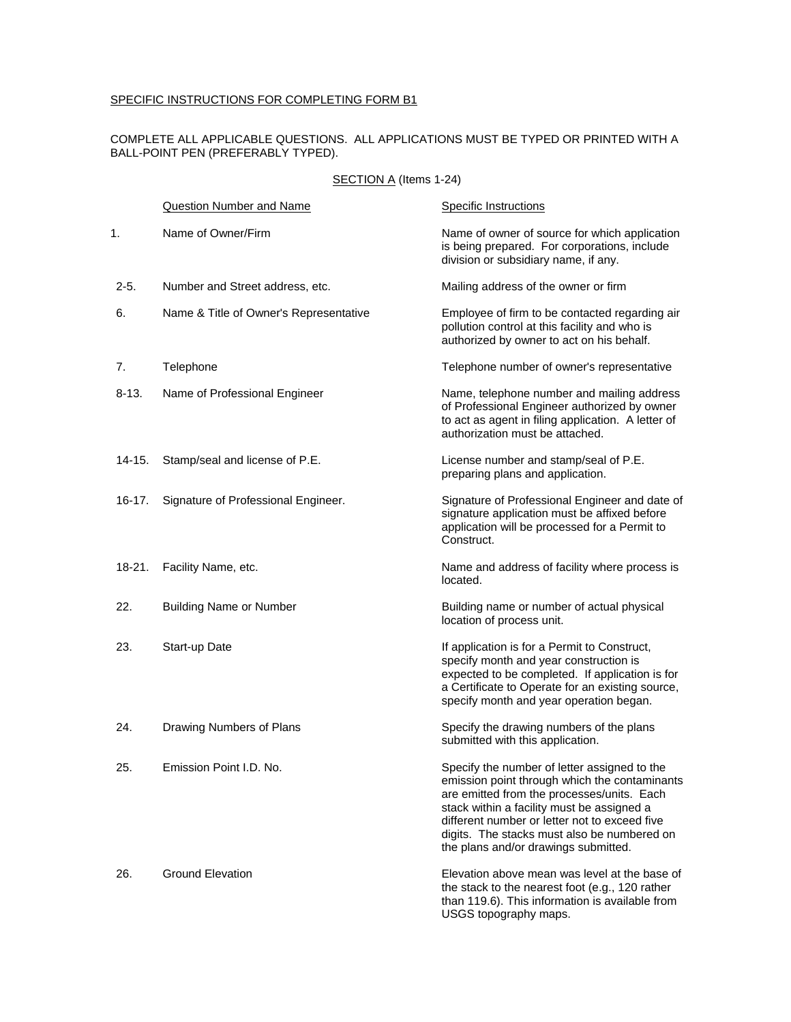# SPECIFIC INSTRUCTIONS FOR COMPLETING FORM B1

## COMPLETE ALL APPLICABLE QUESTIONS. ALL APPLICATIONS MUST BE TYPED OR PRINTED WITH A BALL-POINT PEN (PREFERABLY TYPED).

# SECTION A (Items 1-24)

|            | Question Number and Name               | <b>Specific Instructions</b>                                                                                                                                                                                                                                                                                                      |
|------------|----------------------------------------|-----------------------------------------------------------------------------------------------------------------------------------------------------------------------------------------------------------------------------------------------------------------------------------------------------------------------------------|
| 1.         | Name of Owner/Firm                     | Name of owner of source for which application<br>is being prepared. For corporations, include<br>division or subsidiary name, if any.                                                                                                                                                                                             |
| $2 - 5.$   | Number and Street address, etc.        | Mailing address of the owner or firm                                                                                                                                                                                                                                                                                              |
| 6.         | Name & Title of Owner's Representative | Employee of firm to be contacted regarding air<br>pollution control at this facility and who is<br>authorized by owner to act on his behalf.                                                                                                                                                                                      |
| 7.         | Telephone                              | Telephone number of owner's representative                                                                                                                                                                                                                                                                                        |
| 8-13.      | Name of Professional Engineer          | Name, telephone number and mailing address<br>of Professional Engineer authorized by owner<br>to act as agent in filing application. A letter of<br>authorization must be attached.                                                                                                                                               |
| $14 - 15.$ | Stamp/seal and license of P.E.         | License number and stamp/seal of P.E.<br>preparing plans and application.                                                                                                                                                                                                                                                         |
| $16-17.$   | Signature of Professional Engineer.    | Signature of Professional Engineer and date of<br>signature application must be affixed before<br>application will be processed for a Permit to<br>Construct.                                                                                                                                                                     |
| $18 - 21.$ | Facility Name, etc.                    | Name and address of facility where process is<br>located.                                                                                                                                                                                                                                                                         |
| 22.        | <b>Building Name or Number</b>         | Building name or number of actual physical<br>location of process unit.                                                                                                                                                                                                                                                           |
| 23.        | Start-up Date                          | If application is for a Permit to Construct,<br>specify month and year construction is<br>expected to be completed. If application is for<br>a Certificate to Operate for an existing source,<br>specify month and year operation began.                                                                                          |
| 24.        | Drawing Numbers of Plans               | Specify the drawing numbers of the plans<br>submitted with this application.                                                                                                                                                                                                                                                      |
| 25.        | Emission Point I.D. No.                | Specify the number of letter assigned to the<br>emission point through which the contaminants<br>are emitted from the processes/units. Each<br>stack within a facility must be assigned a<br>different number or letter not to exceed five<br>digits. The stacks must also be numbered on<br>the plans and/or drawings submitted. |
| 26.        | <b>Ground Elevation</b>                | Elevation above mean was level at the base of<br>the stack to the nearest foot (e.g., 120 rather<br>than 119.6). This information is available from<br>USGS topography maps.                                                                                                                                                      |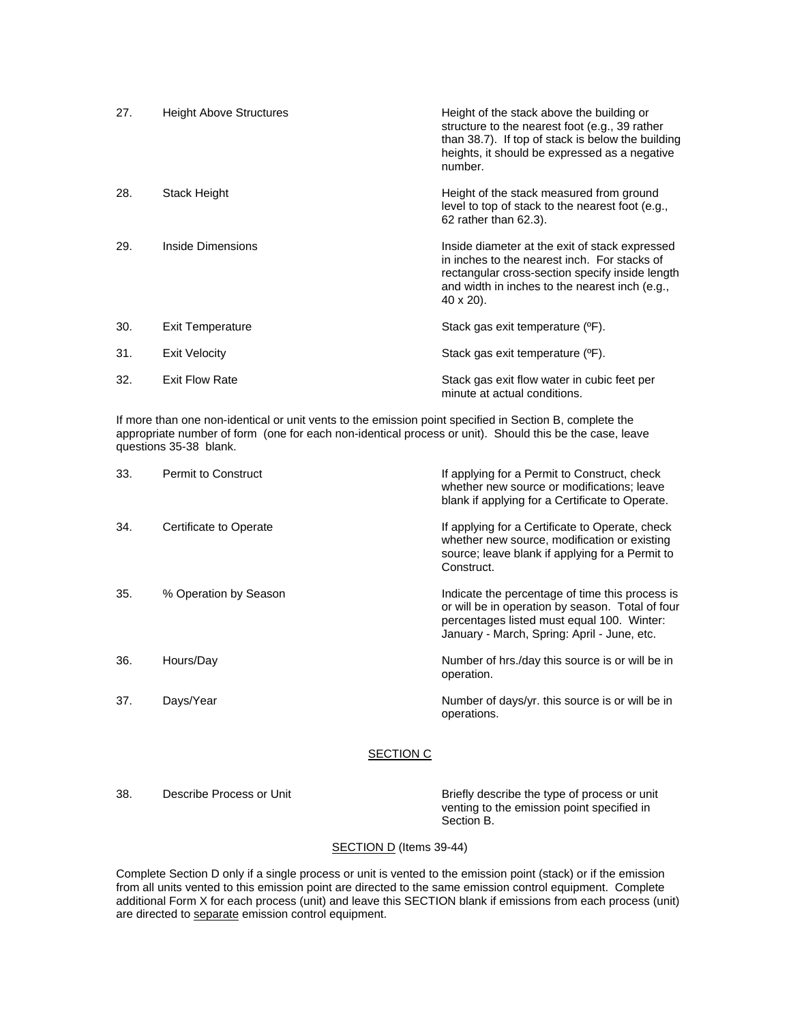| 27. | <b>Height Above Structures</b> | Height of the stack above the building or<br>structure to the nearest foot (e.g., 39 rather<br>than 38.7). If top of stack is below the building<br>heights, it should be expressed as a negative<br>number.     |
|-----|--------------------------------|------------------------------------------------------------------------------------------------------------------------------------------------------------------------------------------------------------------|
| 28. | Stack Height                   | Height of the stack measured from ground<br>level to top of stack to the nearest foot (e.g.,<br>62 rather than 62.3).                                                                                            |
| 29. | Inside Dimensions              | Inside diameter at the exit of stack expressed<br>in inches to the nearest inch. For stacks of<br>rectangular cross-section specify inside length<br>and width in inches to the nearest inch (e.g.,<br>40 x 20). |
| 30. | Exit Temperature               | Stack gas exit temperature (°F).                                                                                                                                                                                 |
| 31. | Exit Velocity                  | Stack gas exit temperature (°F).                                                                                                                                                                                 |
| 32. | <b>Exit Flow Rate</b>          | Stack gas exit flow water in cubic feet per<br>minute at actual conditions.                                                                                                                                      |

If more than one non-identical or unit vents to the emission point specified in Section B, complete the appropriate number of form (one for each non-identical process or unit). Should this be the case, leave questions 35-38 blank.

| 33. | Permit to Construct    | If applying for a Permit to Construct, check<br>whether new source or modifications; leave<br>blank if applying for a Certificate to Operate.                                                    |
|-----|------------------------|--------------------------------------------------------------------------------------------------------------------------------------------------------------------------------------------------|
| 34. | Certificate to Operate | If applying for a Certificate to Operate, check<br>whether new source, modification or existing<br>source; leave blank if applying for a Permit to<br>Construct.                                 |
| 35. | % Operation by Season  | Indicate the percentage of time this process is<br>or will be in operation by season. Total of four<br>percentages listed must equal 100. Winter:<br>January - March, Spring: April - June, etc. |
| 36. | Hours/Day              | Number of hrs./day this source is or will be in<br>operation.                                                                                                                                    |
| 37. | Days/Year              | Number of days/yr. this source is or will be in<br>operations.                                                                                                                                   |

### SECTION C

38. Describe Process or Unit **Briefly** describe the type of process or unit venting to the emission point specified in Section B.

### SECTION D (Items 39-44)

Complete Section D only if a single process or unit is vented to the emission point (stack) or if the emission from all units vented to this emission point are directed to the same emission control equipment. Complete additional Form X for each process (unit) and leave this SECTION blank if emissions from each process (unit) are directed to separate emission control equipment.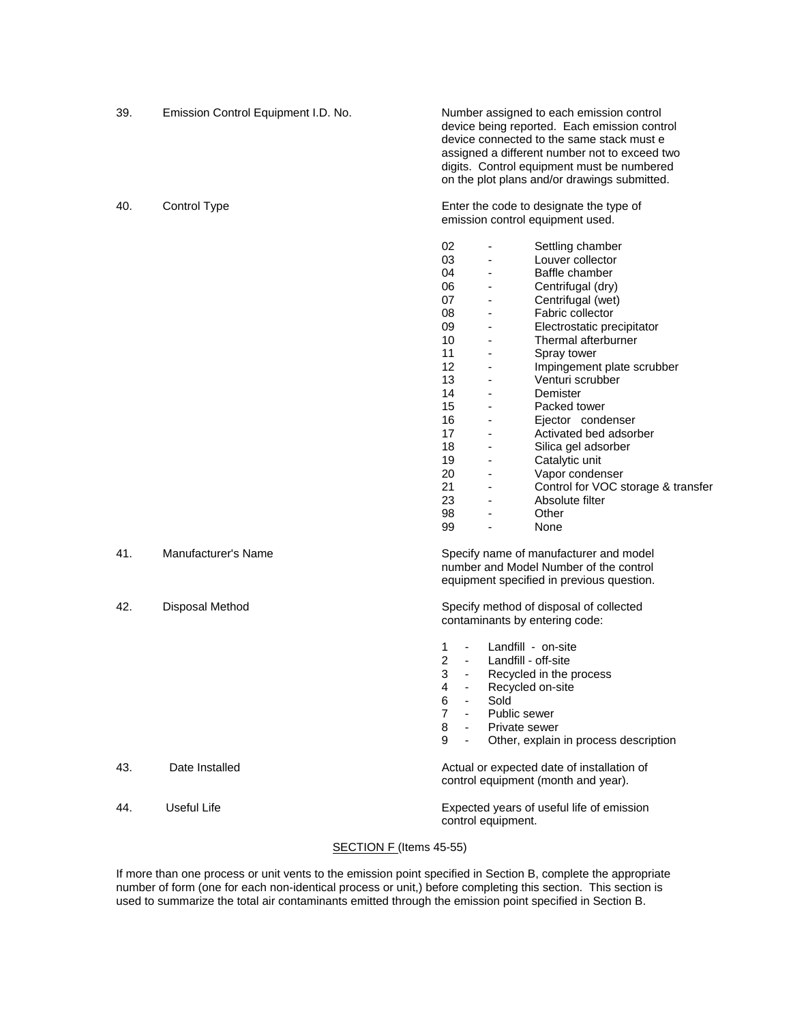39. Emission Control Equipment I.D. No. Number assigned to each emission control device being reported. Each emission control device connected to the same stack must e assigned a different number not to exceed two digits. Control equipment must be numbered on the plot plans and/or drawings submitted. 40. Control Type **Enter the code to designate the type of** Enter the code to designate the type of emission control equipment used. 02 - Settling chamber 03 - Louver collector 04 - Baffle chamber 06 - Centrifugal (dry) 07 - Centrifugal (wet) 08 - Fabric collector 09 - Electrostatic precipitator 10 - Thermal afterburner 11 - Spray tower 12 - Impingement plate scrubber 13 - Venturi scrubber<br>14 - Demister 14 - Demister Demister 15 - Packed tower 16 - Ejector condenser 17 - Activated bed adsorber 18 - Silica gel adsorber<br>19 - Catalytic unit Catalytic unit 20 - Vapor condenser 21 - Control for VOC storage & transfer 23 - Absolute filter example and the state of the state of the state of the state of the state of the state of the state of the state of the state of the state of the state of the state of the state of the state of the state of the state of th 99 - None 41. Manufacturer's Name Specify name of manufacturer and model number and Model Number of the control equipment specified in previous question. 42. Disposal Method Specify method of disposal of collected contaminants by entering code: 1 - Landfill - on-site<br>2 - Landfill - off-site 2 - Landfill - off-site<br>3 - Recycled in the r - Recycled in the process 4 - Recycled on-site 6 - Sold 7 - Public sewer 8 - Private sewer

 9 - Other, explain in process description 43. Date Installed **Actual or expected date of installation of**  $\blacksquare$ control equipment (month and year). 44. Useful Life Expected years of useful life of emission control equipment.

#### SECTION F (Items 45-55)

If more than one process or unit vents to the emission point specified in Section B, complete the appropriate number of form (one for each non-identical process or unit,) before completing this section. This section is used to summarize the total air contaminants emitted through the emission point specified in Section B.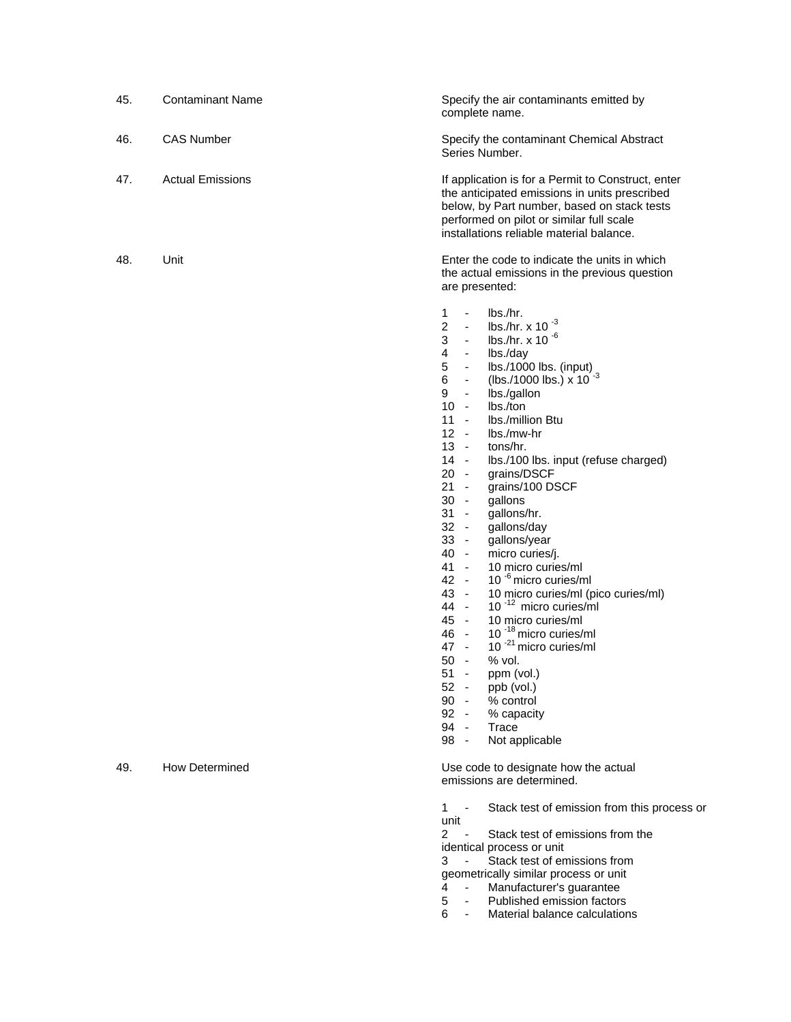| 45. | <b>Contaminant Name</b> | Specify the air contaminants emitted by<br>complete name.                                                                                                                                                                                                                                                                                                                                                                                                                                                                                                                                                                                                                                                                                                                                                                                                                                                                                                                                                                                                                                                                                                          |
|-----|-------------------------|--------------------------------------------------------------------------------------------------------------------------------------------------------------------------------------------------------------------------------------------------------------------------------------------------------------------------------------------------------------------------------------------------------------------------------------------------------------------------------------------------------------------------------------------------------------------------------------------------------------------------------------------------------------------------------------------------------------------------------------------------------------------------------------------------------------------------------------------------------------------------------------------------------------------------------------------------------------------------------------------------------------------------------------------------------------------------------------------------------------------------------------------------------------------|
| 46. | <b>CAS Number</b>       | Specify the contaminant Chemical Abstract<br>Series Number.                                                                                                                                                                                                                                                                                                                                                                                                                                                                                                                                                                                                                                                                                                                                                                                                                                                                                                                                                                                                                                                                                                        |
| 47. | <b>Actual Emissions</b> | If application is for a Permit to Construct, enter<br>the anticipated emissions in units prescribed<br>below, by Part number, based on stack tests<br>performed on pilot or similar full scale<br>installations reliable material balance.                                                                                                                                                                                                                                                                                                                                                                                                                                                                                                                                                                                                                                                                                                                                                                                                                                                                                                                         |
| 48. | Unit                    | Enter the code to indicate the units in which<br>the actual emissions in the previous question<br>are presented:                                                                                                                                                                                                                                                                                                                                                                                                                                                                                                                                                                                                                                                                                                                                                                                                                                                                                                                                                                                                                                                   |
|     |                         | 1<br>$\blacksquare$<br>lbs./hr.<br>lbs./hr. x 10 $^{-3}$<br>$\overline{2}$<br>$\blacksquare$<br>3<br>lbs./hr. x 10 $^{-6}$<br>4<br>lbs./day<br>$\overline{\phantom{a}}$<br>5<br>lbs./1000 lbs. (input)<br>$\overline{\phantom{a}}$<br>(lbs./1000 lbs.) x $10^{-3}$<br>6<br>$\overline{\phantom{a}}$<br>9<br>$\blacksquare$<br>lbs./gallon<br>10<br>lbs./ton<br>$\sim$<br>11<br>Ibs./million Btu<br>$\sim$<br>$12 -$<br>lbs./mw-hr<br>$13 -$<br>tons/hr.<br>$14 -$<br>Ibs./100 lbs. input (refuse charged)<br>20<br>grains/DSCF<br>$\sim$<br>21<br>grains/100 DSCF<br>$\sim$<br>$30 -$<br>gallons<br>31<br>gallons/hr.<br>$\sim$<br>$32 -$<br>gallons/day<br>$33 -$<br>gallons/year<br>40 -<br>micro curies/j.<br>41 -<br>10 micro curies/ml<br>10 <sup>-6</sup> micro curies/ml<br>42 -<br>43 -<br>10 micro curies/ml (pico curies/ml)<br>$10^{-12}$ micro curies/ml<br>44 -<br>45 -<br>10 micro curies/ml<br>10 <sup>-18</sup> micro curies/ml<br>46 -<br>10 <sup>-21</sup> micro curies/ml<br>47 -<br>50<br>% vol.<br>$\sim$<br>51<br>ppm (vol.)<br>$52 -$<br>ppb (vol.)<br>$90 -$<br>% control<br>92 -<br>% capacity<br>94 -<br>Trace<br>Not applicable<br>98 - |
| 49. | <b>How Determined</b>   | Use code to designate how the actual<br>emissions are determined.                                                                                                                                                                                                                                                                                                                                                                                                                                                                                                                                                                                                                                                                                                                                                                                                                                                                                                                                                                                                                                                                                                  |
|     |                         | Stack test of emission from this process or<br>1<br>$\overline{\phantom{a}}$<br>unit<br>$\overline{2}$<br>Stack test of emissions from the<br>identical process or unit<br>Stack test of emissions from<br>3<br>geometrically similar process or unit                                                                                                                                                                                                                                                                                                                                                                                                                                                                                                                                                                                                                                                                                                                                                                                                                                                                                                              |

- 4 Manufacturer's guarantee
- **5** Published emission factors
- 4 Manufacturer's guarantee<br>5 Published emission factors<br>6 Material balance calculations